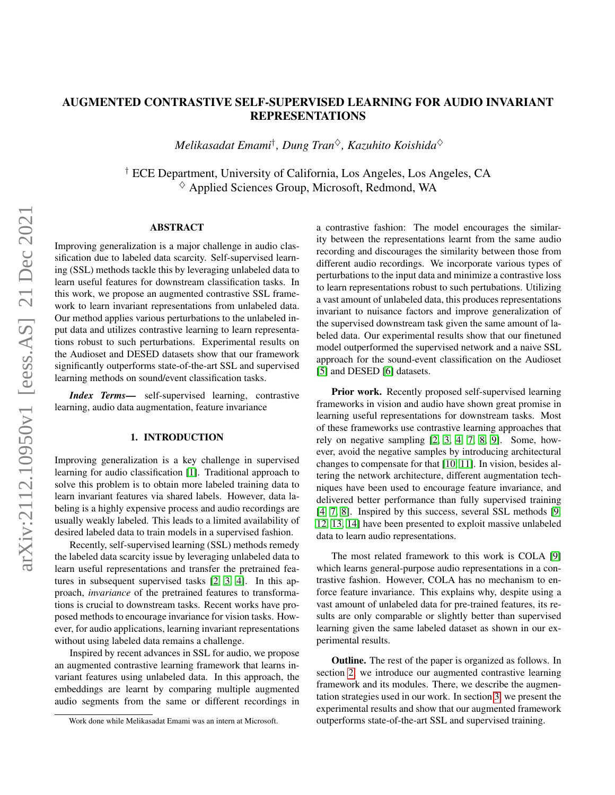# AUGMENTED CONTRASTIVE SELF-SUPERVISED LEARNING FOR AUDIO INVARIANT REPRESENTATIONS

*Melikasadat Emami*† *, Dung Tran*♦*, Kazuhito Koishida*♦

† ECE Department, University of California, Los Angeles, Los Angeles, CA  $\diamond$  Applied Sciences Group, Microsoft, Redmond, WA

# ABSTRACT

Improving generalization is a major challenge in audio classification due to labeled data scarcity. Self-supervised learning (SSL) methods tackle this by leveraging unlabeled data to learn useful features for downstream classification tasks. In this work, we propose an augmented contrastive SSL framework to learn invariant representations from unlabeled data. Our method applies various perturbations to the unlabeled input data and utilizes contrastive learning to learn representations robust to such perturbations. Experimental results on the Audioset and DESED datasets show that our framework significantly outperforms state-of-the-art SSL and supervised learning methods on sound/event classification tasks.

*Index Terms*— self-supervised learning, contrastive learning, audio data augmentation, feature invariance

## 1. INTRODUCTION

Improving generalization is a key challenge in supervised learning for audio classification [\[1\]](#page-3-0). Traditional approach to solve this problem is to obtain more labeled training data to learn invariant features via shared labels. However, data labeling is a highly expensive process and audio recordings are usually weakly labeled. This leads to a limited availability of desired labeled data to train models in a supervised fashion.

Recently, self-supervised learning (SSL) methods remedy the labeled data scarcity issue by leveraging unlabeled data to learn useful representations and transfer the pretrained features in subsequent supervised tasks [\[2,](#page-3-1) [3,](#page-4-0) [4\]](#page-4-1). In this approach, *invariance* of the pretrained features to transformations is crucial to downstream tasks. Recent works have proposed methods to encourage invariance for vision tasks. However, for audio applications, learning invariant representations without using labeled data remains a challenge.

Inspired by recent advances in SSL for audio, we propose an augmented contrastive learning framework that learns invariant features using unlabeled data. In this approach, the embeddings are learnt by comparing multiple augmented audio segments from the same or different recordings in

a contrastive fashion: The model encourages the similarity between the representations learnt from the same audio recording and discourages the similarity between those from different audio recordings. We incorporate various types of perturbations to the input data and minimize a contrastive loss to learn representations robust to such pertubations. Utilizing a vast amount of unlabeled data, this produces representations invariant to nuisance factors and improve generalization of the supervised downstream task given the same amount of labeled data. Our experimental results show that our finetuned model outperformed the supervised network and a naive SSL approach for the sound-event classification on the Audioset [\[5\]](#page-4-2) and DESED [\[6\]](#page-4-3) datasets.

Prior work. Recently proposed self-supervised learning frameworks in vision and audio have shown great promise in learning useful representations for downstream tasks. Most of these frameworks use contrastive learning approaches that rely on negative sampling [\[2,](#page-3-1) [3,](#page-4-0) [4,](#page-4-1) [7,](#page-4-4) [8,](#page-4-5) [9\]](#page-4-6). Some, however, avoid the negative samples by introducing architectural changes to compensate for that [\[10,](#page-4-7) [11\]](#page-4-8). In vision, besides altering the network architecture, different augmentation techniques have been used to encourage feature invariance, and delivered better performance than fully supervised training [\[4,](#page-4-1) [7,](#page-4-4) [8\]](#page-4-5). Inspired by this success, several SSL methods [\[9,](#page-4-6) [12,](#page-4-9) [13,](#page-4-10) [14\]](#page-4-11) have been presented to exploit massive unlabeled data to learn audio representations.

The most related framework to this work is COLA [\[9\]](#page-4-6) which learns general-purpose audio representations in a contrastive fashion. However, COLA has no mechanism to enforce feature invariance. This explains why, despite using a vast amount of unlabeled data for pre-trained features, its results are only comparable or slightly better than supervised learning given the same labeled dataset as shown in our experimental results.

Outline. The rest of the paper is organized as follows. In section [2,](#page-1-0) we introduce our augmented contrastive learning framework and its modules. There, we describe the augmentation strategies used in our work. In section [3,](#page-2-0) we present the experimental results and show that our augmented framework outperforms state-of-the-art SSL and supervised training.

Work done while Melikasadat Emami was an intern at Microsoft.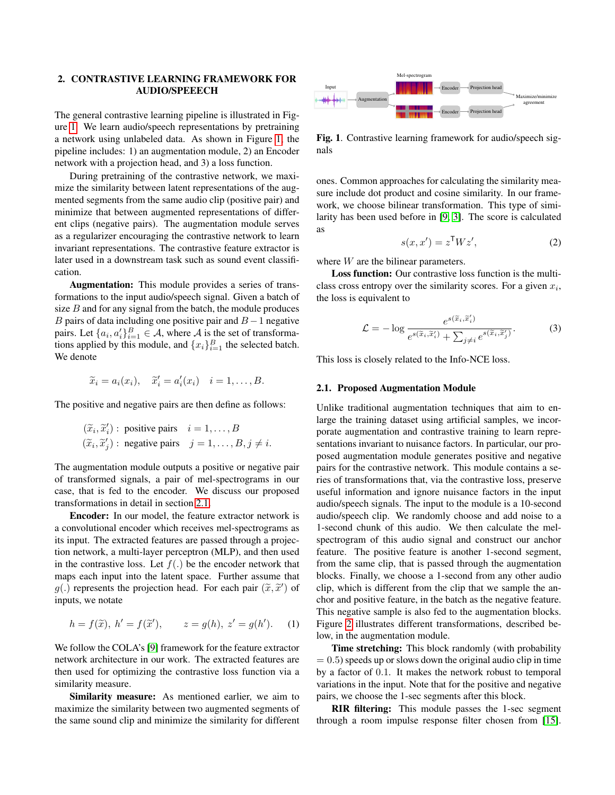# <span id="page-1-0"></span>2. CONTRASTIVE LEARNING FRAMEWORK FOR AUDIO/SPEEECH

The general contrastive learning pipeline is illustrated in Figure [1.](#page-1-1) We learn audio/speech representations by pretraining a network using unlabeled data. As shown in Figure [1,](#page-1-1) the pipeline includes: 1) an augmentation module, 2) an Encoder network with a projection head, and 3) a loss function.

During pretraining of the contrastive network, we maximize the similarity between latent representations of the augmented segments from the same audio clip (positive pair) and minimize that between augmented representations of different clips (negative pairs). The augmentation module serves as a regularizer encouraging the contrastive network to learn invariant representations. The contrastive feature extractor is later used in a downstream task such as sound event classification.

Augmentation: This module provides a series of transformations to the input audio/speech signal. Given a batch of size  $B$  and for any signal from the batch, the module produces B pairs of data including one positive pair and  $B - 1$  negative pairs. Let  $\{a_i, a'_i\}_{i=1}^B \in \mathcal{A}$ , where  $\mathcal{A}$  is the set of transformations applied by this module, and  ${x_i}_{i=1}^B$  the selected batch. We denote

$$
\widetilde{x}_i = a_i(x_i), \quad \widetilde{x}'_i = a'_i(x_i) \quad i = 1, \ldots, B.
$$

The positive and negative pairs are then define as follows:

$$
(\widetilde{x}_i, \widetilde{x}'_i)
$$
: positive pairs  $i = 1, ..., B$   
 $(\widetilde{x}_i, \widetilde{x}'_j)$ : negative pairs  $j = 1, ..., B, j \neq i$ .

The augmentation module outputs a positive or negative pair of transformed signals, a pair of mel-spectrograms in our case, that is fed to the encoder. We discuss our proposed transformations in detail in section [2.1.](#page-1-2)

Encoder: In our model, the feature extractor network is a convolutional encoder which receives mel-spectrograms as its input. The extracted features are passed through a projection network, a multi-layer perceptron (MLP), and then used in the contrastive loss. Let  $f(.)$  be the encoder network that maps each input into the latent space. Further assume that  $g(.)$  represents the projection head. For each pair  $(\tilde{x}, \tilde{x}')$  of inputs we note inputs, we notate

$$
h = f(\tilde{x}), h' = f(\tilde{x}'), \qquad z = g(h), z' = g(h').
$$
 (1)

We follow the COLA's [\[9\]](#page-4-6) framework for the feature extractor network architecture in our work. The extracted features are then used for optimizing the contrastive loss function via a similarity measure.

Similarity measure: As mentioned earlier, we aim to maximize the similarity between two augmented segments of the same sound clip and minimize the similarity for different



<span id="page-1-1"></span>Fig. 1. Contrastive learning framework for audio/speech signals

ones. Common approaches for calculating the similarity measure include dot product and cosine similarity. In our framework, we choose bilinear transformation. This type of similarity has been used before in [\[9,](#page-4-6) [3\]](#page-4-0). The score is calculated as

$$
s(x, x') = z^{\mathsf{T}} W z', \tag{2}
$$

where *W* are the bilinear parameters.

Loss function: Our contrastive loss function is the multiclass cross entropy over the similarity scores. For a given  $x_i$ , the loss is equivalent to

$$
\mathcal{L} = -\log \frac{e^{s(\widetilde{x}_i, \widetilde{x}'_i)}}{e^{s(\widetilde{x}_i, \widetilde{x}'_i)} + \sum_{j \neq i} e^{s(\widetilde{x}_i, \widetilde{x}'_j)}}.
$$
(3)

This loss is closely related to the Info-NCE loss.

#### <span id="page-1-2"></span>2.1. Proposed Augmentation Module

Unlike traditional augmentation techniques that aim to enlarge the training dataset using artificial samples, we incorporate augmentation and contrastive training to learn representations invariant to nuisance factors. In particular, our proposed augmentation module generates positive and negative pairs for the contrastive network. This module contains a series of transformations that, via the contrastive loss, preserve useful information and ignore nuisance factors in the input audio/speech signals. The input to the module is a 10-second audio/speech clip. We randomly choose and add noise to a 1-second chunk of this audio. We then calculate the melspectrogram of this audio signal and construct our anchor feature. The positive feature is another 1-second segment, from the same clip, that is passed through the augmentation blocks. Finally, we choose a 1-second from any other audio clip, which is different from the clip that we sample the anchor and positive feature, in the batch as the negative feature. This negative sample is also fed to the augmentation blocks. Figure [2](#page-2-1) illustrates different transformations, described below, in the augmentation module.

**Time stretching:** This block randomly (with probability)  $= 0.5$ ) speeds up or slows down the original audio clip in time by a factor of 0.1. It makes the network robust to temporal variations in the input. Note that for the positive and negative pairs, we choose the 1-sec segments after this block.

RIR filtering: This module passes the 1-sec segment through a room impulse response filter chosen from [\[15\]](#page-4-12).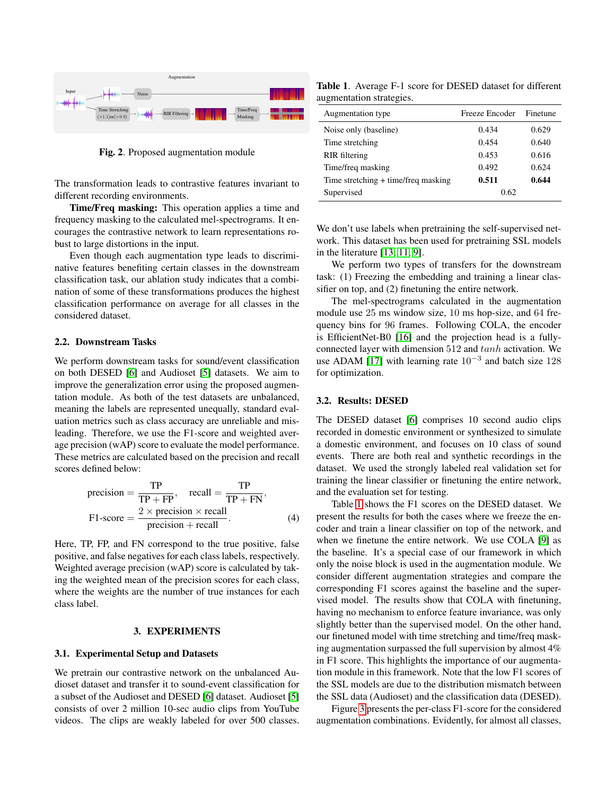

<span id="page-2-1"></span>Fig. 2. Proposed augmentation module

The transformation leads to contrastive features invariant to different recording environments.

Time/Freq masking: This operation applies a time and frequency masking to the calculated mel-spectrograms. It encourages the contrastive network to learn representations robust to large distortions in the input.

Even though each augmentation type leads to discriminative features benefiting certain classes in the downstream classification task, our ablation study indicates that a combination of some of these transformations produces the highest classification performance on average for all classes in the considered dataset.

### 2.2. Downstream Tasks

We perform downstream tasks for sound/event classification on both DESED [\[6\]](#page-4-3) and Audioset [\[5\]](#page-4-2) datasets. We aim to improve the generalization error using the proposed augmentation module. As both of the test datasets are unbalanced, meaning the labels are represented unequally, standard evaluation metrics such as class accuracy are unreliable and misleading. Therefore, we use the F1-score and weighted average precision (wAP) score to evaluate the model performance. These metrics are calculated based on the precision and recall scores defined below:

$$
precision = \frac{TP}{TP + FP}, \quad recall = \frac{TP}{TP + FN},
$$

$$
F1-score = \frac{2 \times precision \times recall}{precision + recall}.
$$
(4)

Here, TP, FP, and FN correspond to the true positive, false positive, and false negatives for each class labels, respectively. Weighted average precision (wAP) score is calculated by taking the weighted mean of the precision scores for each class, where the weights are the number of true instances for each class label.

### 3. EXPERIMENTS

#### <span id="page-2-0"></span>3.1. Experimental Setup and Datasets

We pretrain our contrastive network on the unbalanced Audioset dataset and transfer it to sound-event classification for a subset of the Audioset and DESED [\[6\]](#page-4-3) dataset. Audioset [\[5\]](#page-4-2) consists of over 2 million 10-sec audio clips from YouTube videos. The clips are weakly labeled for over 500 classes.

<span id="page-2-2"></span>Table 1. Average F-1 score for DESED dataset for different augmentation strategies.

| Augmentation type                   | Freeze Encoder | Finetune |
|-------------------------------------|----------------|----------|
| Noise only (baseline)               | 0.434          | 0.629    |
| Time stretching                     | 0.454          | 0.640    |
| RIR filtering                       | 0.453          | 0.616    |
| Time/freq masking                   | 0.492          | 0.624    |
| Time stretching + time/freq masking | 0.511          | 0.644    |
| Supervised                          | 0.62           |          |

We don't use labels when pretraining the self-supervised network. This dataset has been used for pretraining SSL models in the literature [\[13,](#page-4-10) [11,](#page-4-8) [9\]](#page-4-6).

We perform two types of transfers for the downstream task: (1) Freezing the embedding and training a linear classifier on top, and (2) finetuning the entire network.

The mel-spectrograms calculated in the augmentation module use 25 ms window size, 10 ms hop-size, and 64 frequency bins for 96 frames. Following COLA, the encoder is EfficientNet-B0 [\[16\]](#page-4-13) and the projection head is a fullyconnected layer with dimension 512 and tanh activation. We use ADAM [\[17\]](#page-4-14) with learning rate  $10^{-3}$  and batch size 128 for optimization.

### 3.2. Results: DESED

The DESED dataset [\[6\]](#page-4-3) comprises 10 second audio clips recorded in domestic environment or synthesized to simulate a domestic environment, and focuses on 10 class of sound events. There are both real and synthetic recordings in the dataset. We used the strongly labeled real validation set for training the linear classifier or finetuning the entire network, and the evaluation set for testing.

Table [1](#page-2-2) shows the F1 scores on the DESED dataset. We present the results for both the cases where we freeze the encoder and train a linear classifier on top of the network, and when we finetune the entire network. We use COLA [\[9\]](#page-4-6) as the baseline. It's a special case of our framework in which only the noise block is used in the augmentation module. We consider different augmentation strategies and compare the corresponding F1 scores against the baseline and the supervised model. The results show that COLA with finetuning, having no mechanism to enforce feature invariance, was only slightly better than the supervised model. On the other hand, our finetuned model with time stretching and time/freq masking augmentation surpassed the full supervision by almost 4% in F1 score. This highlights the importance of our augmentation module in this framework. Note that the low F1 scores of the SSL models are due to the distribution mismatch between the SSL data (Audioset) and the classification data (DESED).

Figure [3](#page-3-2) presents the per-class F1-score for the considered augmentation combinations. Evidently, for almost all classes,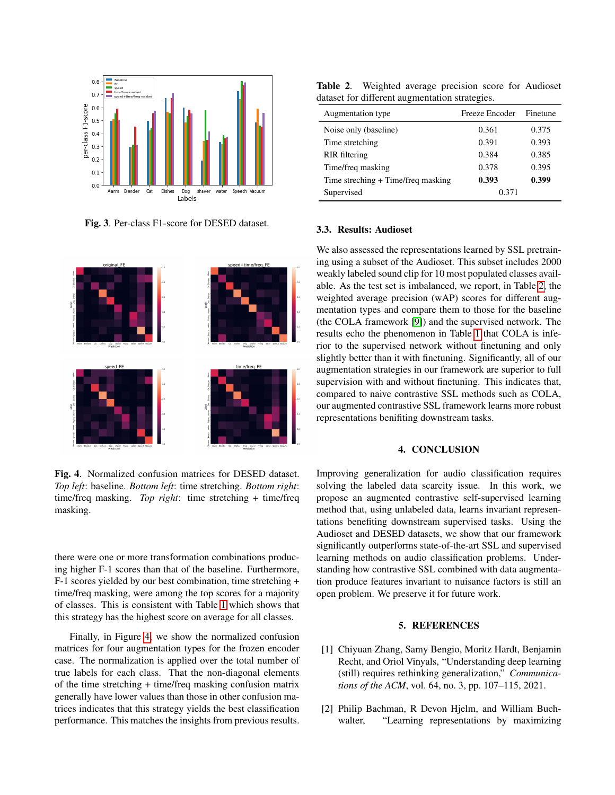

<span id="page-3-2"></span>Fig. 3. Per-class F1-score for DESED dataset.



<span id="page-3-3"></span>Fig. 4. Normalized confusion matrices for DESED dataset. *Top left*: baseline. *Bottom left*: time stretching. *Bottom right*: time/freq masking. *Top right*: time stretching + time/freq masking.

there were one or more transformation combinations producing higher F-1 scores than that of the baseline. Furthermore, F-1 scores yielded by our best combination, time stretching + time/freq masking, were among the top scores for a majority of classes. This is consistent with Table [1](#page-2-2) which shows that this strategy has the highest score on average for all classes.

Finally, in Figure [4,](#page-3-3) we show the normalized confusion matrices for four augmentation types for the frozen encoder case. The normalization is applied over the total number of true labels for each class. That the non-diagonal elements of the time stretching + time/freq masking confusion matrix generally have lower values than those in other confusion matrices indicates that this strategy yields the best classification performance. This matches the insights from previous results.

<span id="page-3-4"></span>Table 2. Weighted average precision score for Audioset dataset for different augmentation strategies.

| Augmentation type                  | Freeze Encoder | Finetune |
|------------------------------------|----------------|----------|
| Noise only (baseline)              | 0.361          | 0.375    |
| Time stretching                    | 0.391          | 0.393    |
| RIR filtering                      | 0.384          | 0.385    |
| Time/freq masking                  | 0.378          | 0.395    |
| Time streching + Time/freq masking | 0.393          | 0.399    |
| Supervised                         | 0.371          |          |

#### 3.3. Results: Audioset

We also assessed the representations learned by SSL pretraining using a subset of the Audioset. This subset includes 2000 weakly labeled sound clip for 10 most populated classes available. As the test set is imbalanced, we report, in Table [2,](#page-3-4) the weighted average precision (wAP) scores for different augmentation types and compare them to those for the baseline (the COLA framework [\[9\]](#page-4-6)) and the supervised network. The results echo the phenomenon in Table [1](#page-2-2) that COLA is inferior to the supervised network without finetuning and only slightly better than it with finetuning. Significantly, all of our augmentation strategies in our framework are superior to full supervision with and without finetuning. This indicates that, compared to naive contrastive SSL methods such as COLA, our augmented contrastive SSL framework learns more robust representations benifiting downstream tasks.

#### 4. CONCLUSION

Improving generalization for audio classification requires solving the labeled data scarcity issue. In this work, we propose an augmented contrastive self-supervised learning method that, using unlabeled data, learns invariant representations benefiting downstream supervised tasks. Using the Audioset and DESED datasets, we show that our framework significantly outperforms state-of-the-art SSL and supervised learning methods on audio classification problems. Understanding how contrastive SSL combined with data augmentation produce features invariant to nuisance factors is still an open problem. We preserve it for future work.

### 5. REFERENCES

- <span id="page-3-0"></span>[1] Chiyuan Zhang, Samy Bengio, Moritz Hardt, Benjamin Recht, and Oriol Vinyals, "Understanding deep learning (still) requires rethinking generalization," *Communications of the ACM*, vol. 64, no. 3, pp. 107–115, 2021.
- <span id="page-3-1"></span>[2] Philip Bachman, R Devon Hjelm, and William Buchwalter, "Learning representations by maximizing